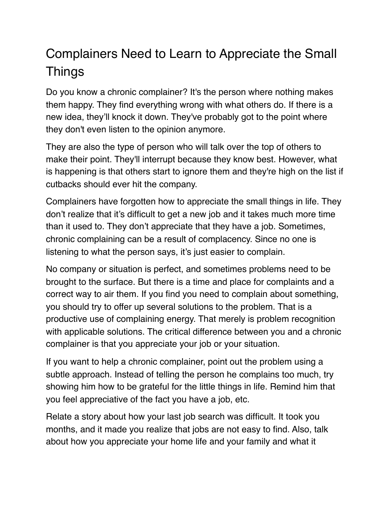## Complainers Need to Learn to Appreciate the Small Things

Do you know a chronic complainer? It's the person where nothing makes them happy. They find everything wrong with what others do. If there is a new idea, they'll knock it down. They've probably got to the point where they don't even listen to the opinion anymore.

They are also the type of person who will talk over the top of others to make their point. They'll interrupt because they know best. However, what is happening is that others start to ignore them and they're high on the list if cutbacks should ever hit the company.

Complainers have forgotten how to appreciate the small things in life. They don't realize that it's difficult to get a new job and it takes much more time than it used to. They don't appreciate that they have a job. Sometimes, chronic complaining can be a result of complacency. Since no one is listening to what the person says, it's just easier to complain.

No company or situation is perfect, and sometimes problems need to be brought to the surface. But there is a time and place for complaints and a correct way to air them. If you find you need to complain about something, you should try to offer up several solutions to the problem. That is a productive use of complaining energy. That merely is problem recognition with applicable solutions. The critical difference between you and a chronic complainer is that you appreciate your job or your situation.

If you want to help a chronic complainer, point out the problem using a subtle approach. Instead of telling the person he complains too much, try showing him how to be grateful for the little things in life. Remind him that you feel appreciative of the fact you have a job, etc.

Relate a story about how your last job search was difficult. It took you months, and it made you realize that jobs are not easy to find. Also, talk about how you appreciate your home life and your family and what it